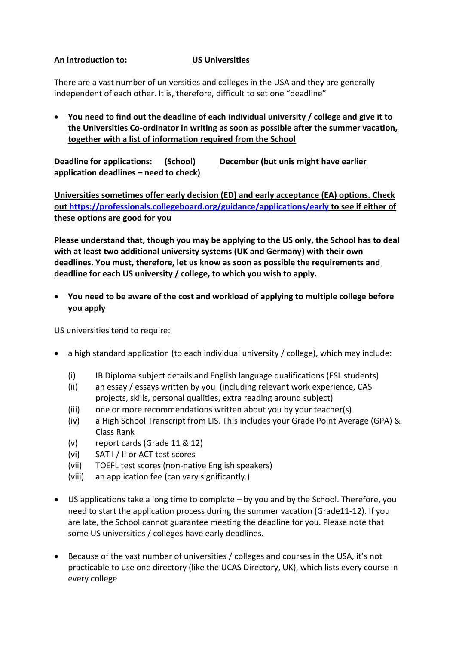## **An introduction to: US Universities**

There are a vast number of universities and colleges in the USA and they are generally independent of each other. It is, therefore, difficult to set one "deadline"

• **You need to find out the deadline of each individual university / college and give it to the Universities Co-ordinator in writing as soon as possible after the summer vacation, together with a list of information required from the School**

**Deadline for applications: (School) December (but unis might have earlier application deadlines – need to check)**

**Universities sometimes offer early decision (ED) and early acceptance (EA) options. Check out<https://professionals.collegeboard.org/guidance/applications/early> to see if either of these options are good for you**

**Please understand that, though you may be applying to the US only, the School has to deal with at least two additional university systems (UK and Germany) with their own deadlines. You must, therefore, let us know as soon as possible the requirements and deadline for each US university / college, to which you wish to apply.**

• **You need to be aware of the cost and workload of applying to multiple college before you apply**

US universities tend to require:

- a high standard application (to each individual university / college), which may include:
	- (i) IB Diploma subject details and English language qualifications (ESL students)
	- (ii) an essay / essays written by you (including relevant work experience, CAS projects, skills, personal qualities, extra reading around subject)
	- (iii) one or more recommendations written about you by your teacher(s)
	- (iv) a High School Transcript from LIS. This includes your Grade Point Average (GPA) & Class Rank
	- (v) report cards (Grade 11 & 12)
	- (vi) SAT I / II or ACT test scores
	- (vii) TOEFL test scores (non-native English speakers)
	- (viii) an application fee (can vary significantly.)
- US applications take a long time to complete by you and by the School. Therefore, you need to start the application process during the summer vacation (Grade11-12). If you are late, the School cannot guarantee meeting the deadline for you. Please note that some US universities / colleges have early deadlines.
- Because of the vast number of universities / colleges and courses in the USA, it's not practicable to use one directory (like the UCAS Directory, UK), which lists every course in every college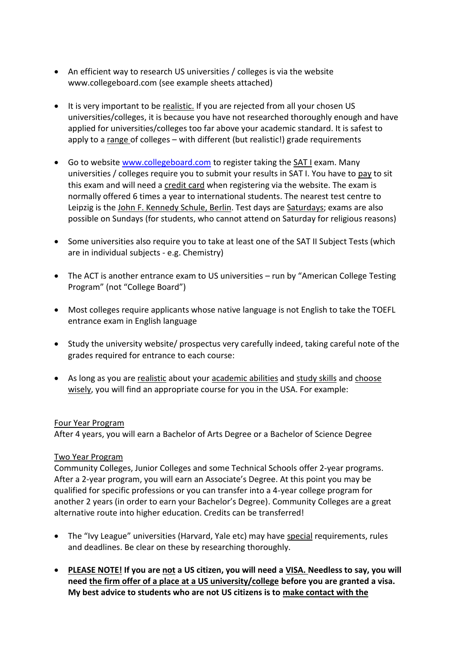- An efficient way to research US universities / colleges is via the website www.collegeboard.com (see example sheets attached)
- It is very important to be realistic. If you are rejected from all your chosen US universities/colleges, it is because you have not researched thoroughly enough and have applied for universities/colleges too far above your academic standard. It is safest to apply to a range of colleges – with different (but realistic!) grade requirements
- Go to website [www.collegeboard.com](http://www.collegeboard.com/) to register taking the SAT I exam. Many universities / colleges require you to submit your results in SAT I. You have to pay to sit this exam and will need a credit card when registering via the website. The exam is normally offered 6 times a year to international students. The nearest test centre to Leipzig is the John F. Kennedy Schule, Berlin. Test days are Saturdays; exams are also possible on Sundays (for students, who cannot attend on Saturday for religious reasons)
- Some universities also require you to take at least one of the SAT II Subject Tests (which are in individual subjects - e.g. Chemistry)
- The ACT is another entrance exam to US universities run by "American College Testing Program" (not "College Board")
- Most colleges require applicants whose native language is not English to take the TOEFL entrance exam in English language
- Study the university website/ prospectus very carefully indeed, taking careful note of the grades required for entrance to each course:
- As long as you are realistic about your academic abilities and study skills and choose wisely, you will find an appropriate course for you in the USA. For example:

### Four Year Program

After 4 years, you will earn a Bachelor of Arts Degree or a Bachelor of Science Degree

# Two Year Program

Community Colleges, Junior Colleges and some Technical Schools offer 2-year programs. After a 2-year program, you will earn an Associate's Degree. At this point you may be qualified for specific professions or you can transfer into a 4-year college program for another 2 years (in order to earn your Bachelor's Degree). Community Colleges are a great alternative route into higher education. Credits can be transferred!

- The "Ivy League" universities (Harvard, Yale etc) may have special requirements, rules and deadlines. Be clear on these by researching thoroughly.
- **PLEASE NOTE! If you are not a US citizen, you will need a VISA. Needless to say, you will need the firm offer of a place at a US university/college before you are granted a visa. My best advice to students who are not US citizens is to make contact with the**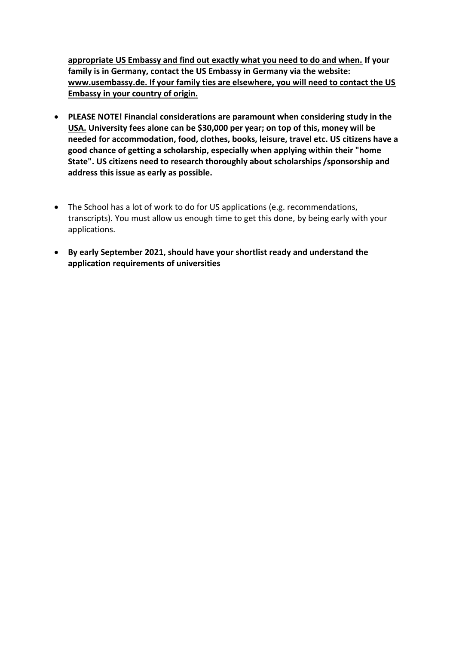**appropriate US Embassy and find out exactly what you need to do and when. If your family is in Germany, contact the US Embassy in Germany via the website: www.usembassy.de. If your family ties are elsewhere, you will need to contact the US Embassy in your country of origin.** 

- **PLEASE NOTE! Financial considerations are paramount when considering study in the USA. University fees alone can be \$30,000 per year; on top of this, money will be needed for accommodation, food, clothes, books, leisure, travel etc. US citizens have a good chance of getting a scholarship, especially when applying within their "home State". US citizens need to research thoroughly about scholarships /sponsorship and address this issue as early as possible.**
- The School has a lot of work to do for US applications (e.g. recommendations, transcripts). You must allow us enough time to get this done, by being early with your applications.
- **By early September 2021, should have your shortlist ready and understand the application requirements of universities**